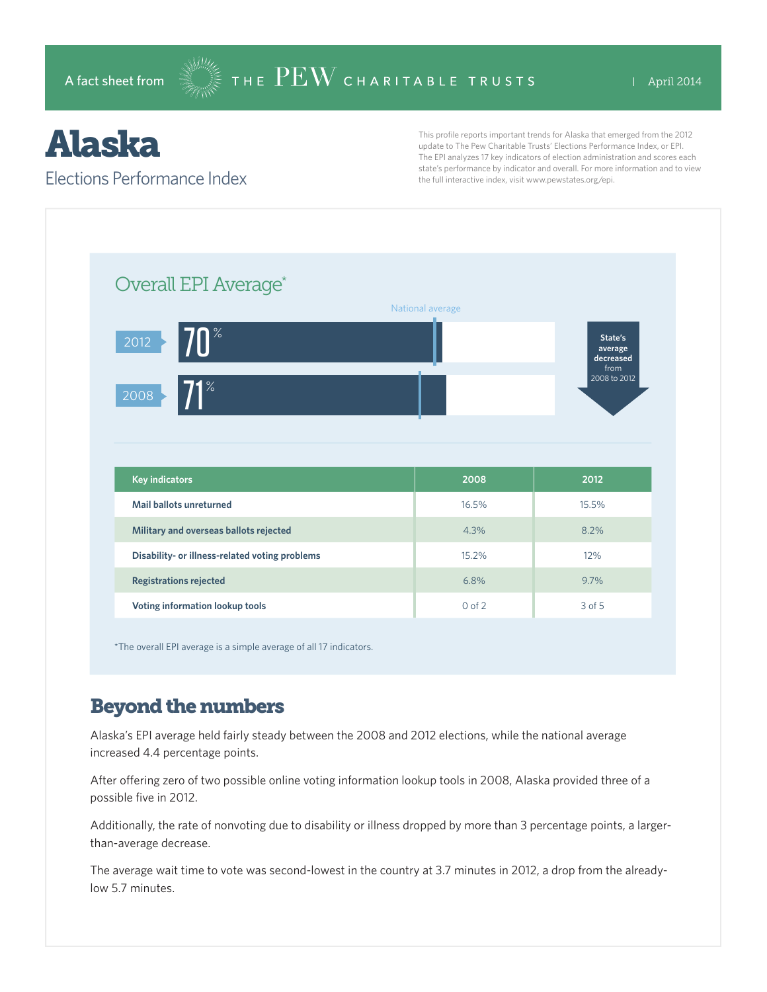# Alaska

#### Elections Performance Index

This profile reports important trends for Alaska that emerged from the 2012 update to The Pew Charitable Trusts' Elections Performance Index, or EPI. The EPI analyzes 17 key indicators of election administration and scores each state's performance by indicator and overall. For more information and to view the full interactive index, visit www.pewstates.org/epi.

| Overall EPI Average*                           |                  |                                                         |
|------------------------------------------------|------------------|---------------------------------------------------------|
| $\sqrt{10}$<br>2012<br>$71^{\circ}$<br>2008    | National average | State's<br>average<br>decreased<br>from<br>2008 to 2012 |
|                                                |                  |                                                         |
| <b>Key indicators</b>                          | 2008             | 2012                                                    |
| Mail ballots unreturned                        | 16.5%            | 15.5%                                                   |
| Military and overseas ballots rejected         | 4.3%             | 8.2%                                                    |
| Disability- or illness-related voting problems | 15.2%            | 12%                                                     |
| <b>Registrations rejected</b>                  | 6.8%             | 9.7%                                                    |

\*The overall EPI average is a simple average of all 17 indicators.

### Beyond the numbers

Alaska's EPI average held fairly steady between the 2008 and 2012 elections, while the national average increased 4.4 percentage points.

After offering zero of two possible online voting information lookup tools in 2008, Alaska provided three of a possible five in 2012.

Additionally, the rate of nonvoting due to disability or illness dropped by more than 3 percentage points, a largerthan-average decrease.

The average wait time to vote was second-lowest in the country at 3.7 minutes in 2012, a drop from the alreadylow 5.7 minutes.